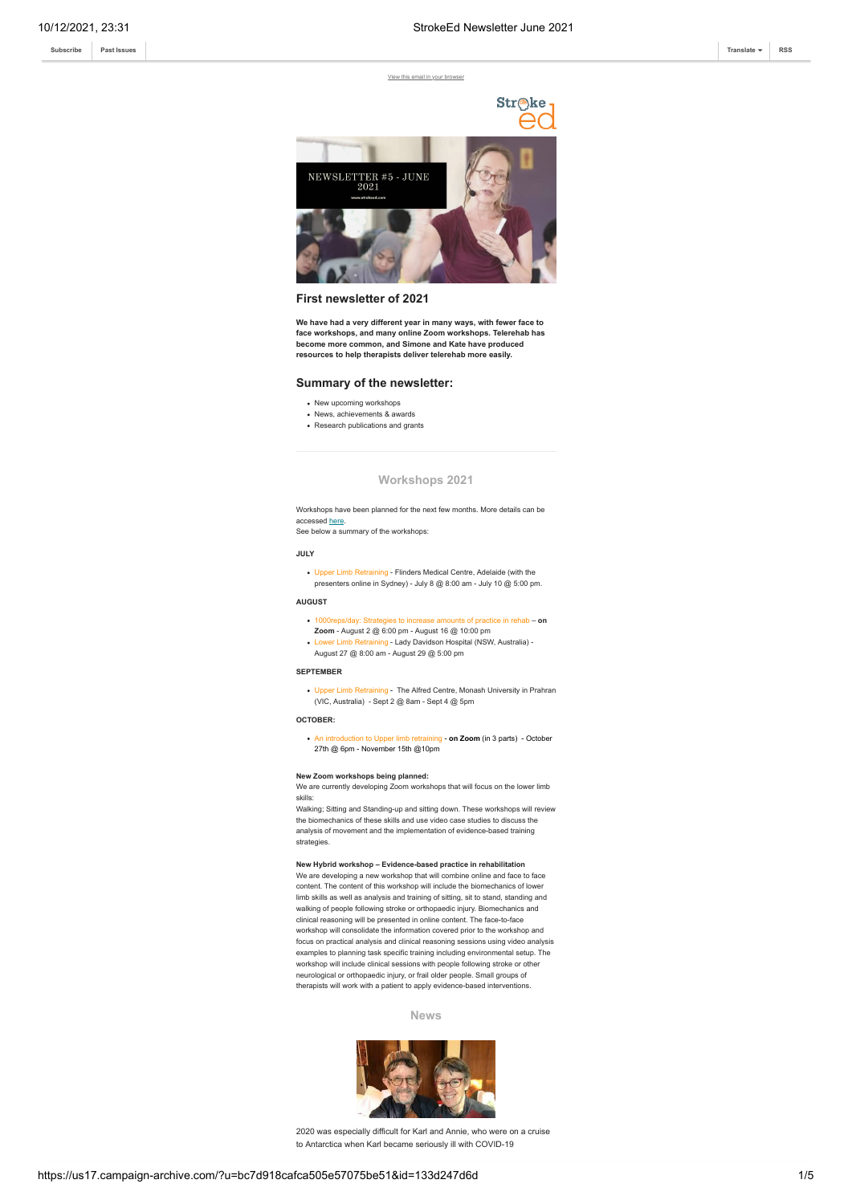[View this email in your browser](https://mailchi.mp/317c4123f494/strokeed-newsletter-june-2021?e=[UNIQID])



## **First newsletter of 2021**

**We have had a very different year in many ways, with fewer face to face workshops, and many online Zoom workshops. Telerehab has become more common, and Simone and Kate have produced resources to help therapists deliver telerehab more easily.**

# **Summary of the newsletter:**

- New upcoming workshops
- News, achievements & awards
- Research publications and grants

### **Workshops 2021**

Workshops have been planned for the next few months. More details can be accessed [here.](http://strokeed.com/workshop-calendar/)

See below a summary of the workshops:

#### **JULY**

Upper Limb Retraining - Flinders Medical Centre, Adelaide (with the presenters online in Sydney) - July 8  $\textcircled{a}$  8:00 am - July 10  $\textcircled{a}$  5:00 pm.

**AUGUST**

- 1000reps/day: Strategies to increase amounts of practice in rehab **on**
- **Zoom** August 2 @ 6:00 pm August 16 @ 10:00 pm
	- Lower Lady Davidson Hospital (NSW, Australia) -
- August 27 @ 8:00 am August 29 @ 5:00 pm

#### **SEPTEMBER**

ver Limb Retraining - The Alfred Centre, Monash University in Prahran (VIC, Australia) - Sept 2 @ 8am - Sept 4 @ 5pm

#### **OCTOBER:**

An introduction to Upper limb retraining - **on Zoom** (in 3 parts) - October 27th @ 6pm - November 15th @10pm

#### **New Zoom workshops being planned:**

We are currently developing Zoom workshops that will focus on the lower limb skills:

Walking; Sitting and Standing-up and sitting down. These workshops will review the biomechanics of these skills and use video case studies to discuss the analysis of movement and the implementation of evidence-based training strategies.

### **New Hybrid workshop – Evidence-based practice in rehabilitation**

We are developing a new workshop that will combine online and face to face content. The content of this workshop will include the biomechanics of low limb skills as well as analysis and training of sitting, sit to stand, standing and walking of people following stroke or orthopaedic injury. Biomechanics and clinical reasoning will be presented in online content. The face-to-face workshop will consolidate the information covered prior to the workshop and focus on practical analysis and clinical reasoning sessions using video analysis examples to planning task specific training including environmental setup. The workshop will include clinical sessions with people following stroke or other neurological or orthopaedic injury, or frail older people. Small groups of therapists will work with a patient to apply evidence-based interventions.

**News**



2020 was especially difficult for Karl and Annie, who were on a cruise to Antarctica when Karl became seriously ill with COVID-19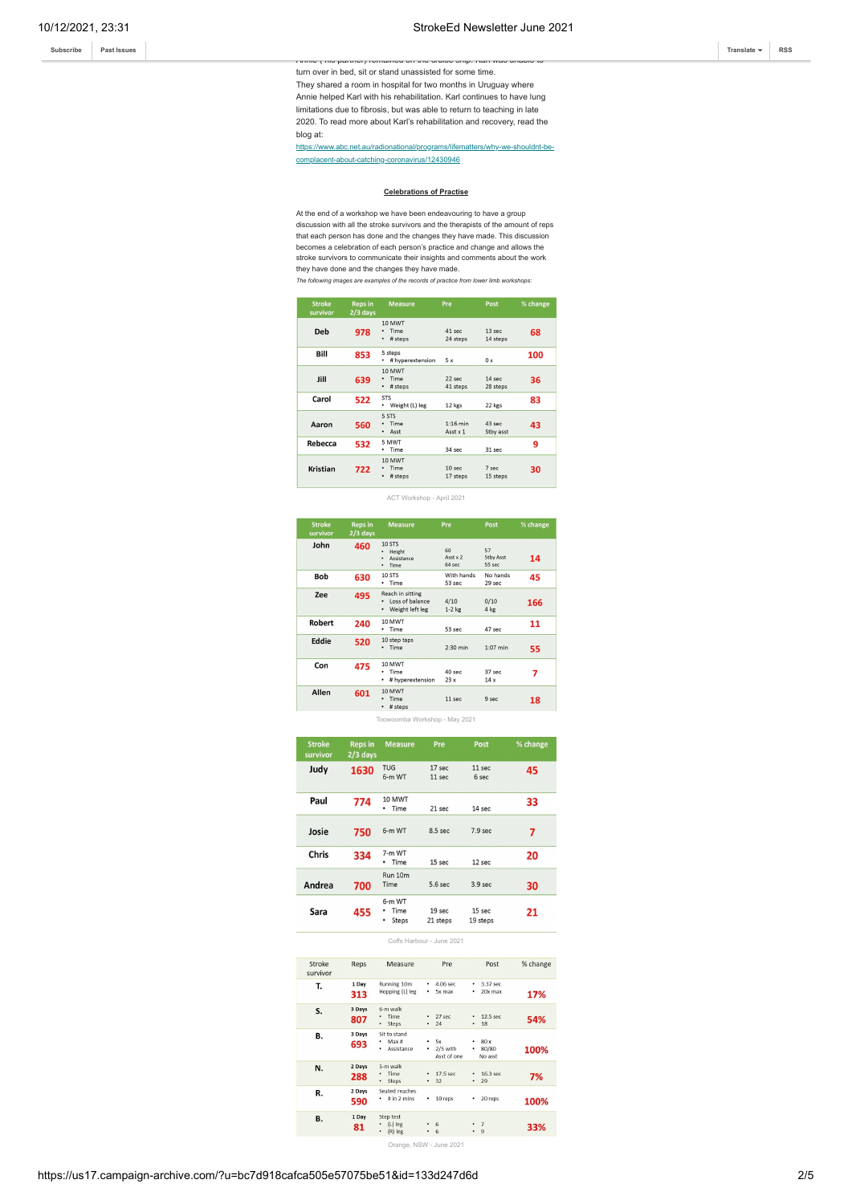Annie ( his partner) remained on the cruise ship. Karl was unable to turn over in bed, sit or stand unassisted for some time. They shared a room in hospital for two months in Uruguay where Annie helped Karl with his rehabilitation. Karl continues to have lung limitations due to fibrosis, but was able to return to teaching in late 2020. To read more about Karl's rehabilitation and recovery, read the blog at:

[https://www.abc.net.au/radionational/programs/lifematters/why-we-shouldnt-be](https://www.abc.net.au/radionational/programs/lifematters/why-we-shouldnt-be-complacent-about-catching-coronavirus/12430946)complacent-about-catching-coronavirus/12430946

### **Celebrations of Practise**

At the end of a workshop we have been endeavouring to have a group discussion with all the stroke survivors and the therapists of the amount of reps that each person has done and the changes they have made. This discussion becomes a celebration of each person's practice and change and allows the stroke survivors to communicate their insights and comments about the work they have done and the changes they have made.

*The following images are examples of the records of practice from lower limb workshops:*

| <b>Stroke</b><br>survivor | <b>Reps in</b><br>$2/3$ days | <b>Measure</b>                              | Pre                           | Post                  | % change |
|---------------------------|------------------------------|---------------------------------------------|-------------------------------|-----------------------|----------|
| Deb                       | 978                          | 10 MWT<br>Time<br>٠<br># steps<br>$\bullet$ | $41$ sec<br>24 steps          | $13$ sec<br>14 steps  | 68       |
| Bill                      | 853                          | 5 steps<br># hyperextension<br>٠            | 5x                            | 0 x                   | 100      |
| Jill                      | 639                          | 10 MWT<br>Time<br>٠<br># steps<br>$\bullet$ | $22$ sec<br>41 steps          | $14$ sec<br>28 steps  | 36       |
| Carol                     | 522                          | <b>STS</b><br>• Weight (L) leg              | 12 kgs                        | 22 kgs                | 83       |
| Aaron                     | 560                          | 5 STS<br>Time<br>٠<br>· Asst                | $1:16$ min<br>Asst x 1        | $43$ sec<br>Stby asst | 43       |
| Rebecca                   | 532                          | 5 MWT<br>Time                               | 34 sec                        | 31 sec                | 9        |
| Kristian                  | 722                          | 10 MWT<br>Time<br># steps<br>٠              | 10 <sub>sec</sub><br>17 steps | 7 sec<br>15 steps     | 30       |

ACT Workshop - April 2021

| <b>Stroke</b><br>survivor | <b>Reps in</b><br>$2/3$ days | <b>Measure</b>                                                                   | Pre                      | Post                             | % change |
|---------------------------|------------------------------|----------------------------------------------------------------------------------|--------------------------|----------------------------------|----------|
| John                      | 460                          | <b>10 STS</b><br>Height<br>٠<br>Assistance<br>Time<br>٠                          | 60<br>Asst x 2<br>64 sec | 57<br><b>Stby Asst</b><br>55 sec | 14       |
| <b>Bob</b>                | 630                          | 10 STS<br>• Time                                                                 | With hands<br>53 sec     | No hands<br>29 sec               | 45       |
| Zee                       | 495                          | Reach in sitting<br>Loss of balance<br>$\bullet$<br>Weight left leg<br>$\bullet$ | 4/10<br>$1-2$ kg         | 0/10<br>4 kg                     | 166      |
| Robert                    | 240                          | 10 MWT<br>Time<br>٠                                                              | 53 sec                   | 47 sec                           | 11       |
| Eddie                     | 520                          | 10 step taps<br>· Time                                                           | $2:30$ min               | $1:07$ min                       | 55       |
| Con                       | 475                          | 10 MWT<br>Time<br>٠<br># hyperextension<br>٠                                     | 40 sec<br>23x            | 37 sec<br>14x                    | 7        |
| Allen                     | 601                          | 10 MWT<br>Time<br>٠<br># steps<br>٠                                              | 11 sec                   | 9 sec                            | 18       |

Toowoomba Workshop - May 2021

| <b>Stroke</b><br>survivor | <b>Reps in</b><br>$2/3$ days | <b>Measure</b>                    | Pre                | Post               | % change |
|---------------------------|------------------------------|-----------------------------------|--------------------|--------------------|----------|
| Judy                      | 1630                         | <b>TUG</b><br>6-m WT              | 17 sec<br>$11$ sec | $11$ sec<br>6 sec  | 45       |
| Paul                      | 774                          | 10 MWT<br>Time<br>٠               | 21 sec             | 14 sec             | 33       |
| Josie                     | 750                          | 6-m WT                            | $8.5$ sec          | 7.9 <sub>sec</sub> | 7        |
| Chris                     | 334                          | 7-m WT<br>Time<br>٠               | 15 sec             | $12$ sec           | 20       |
| Andrea                    | 700                          | Run 10m<br>Time                   | $5.6$ sec          | 3.9 <sub>sec</sub> | 30       |
| Sara                      | 455                          | 6-m WT<br>Time<br>٠<br>Steps<br>٠ | 19 sec<br>21 steps | 15 sec<br>19 steps | 21       |

Coffs Harbour - June 2021

| Stroke<br>survivor | Reps          | Measure                                      | Pre                                     | Post                                        | % change |
|--------------------|---------------|----------------------------------------------|-----------------------------------------|---------------------------------------------|----------|
| Т.                 | 1 Day<br>313  | Running 10m<br>Hopping (L) leg               | 4.06 sec<br>٠<br>5x max<br>٠            | 3.37 sec<br>٠<br>20x max<br>٠               | 17%      |
| S.                 | 3 Days<br>807 | 6-m walk<br>Time<br>Steps<br>۰               | $27$ sec<br>٠<br>24<br>٠                | $12.5$ sec.<br>٠<br>18<br>٠                 | 54%      |
| В.                 | 3 Days<br>693 | Sit to stand<br>Max#<br>٠<br>Assistance<br>٠ | 5x<br>٠<br>2/5 with<br>٠<br>Asst of one | 80x<br>٠<br>80/80<br>٠<br>No asst           | 100%     |
| N.                 | 2 Days<br>288 | 5-m walk<br><b>Time</b><br>Steps<br>٠        | 17.5 sec.<br>٠<br>32<br>٠               | 16.3 sec<br>٠<br>29<br>٠                    | 7%       |
| R.                 | 2 Days<br>590 | Seated reaches<br># in 2 mins<br>٠           | 10 reps<br>٠                            | 20 reps<br>٠                                | 100%     |
| <b>B.</b>          | 1 Day<br>81   | Step test<br>$(L)$ leg<br>$(R)$ $leg$<br>٠   | 6<br>٠<br>-6<br>٠                       | $\overline{7}$<br>9<br>$\ddot{\phantom{0}}$ | 33%      |

Orange, NSW - June 2021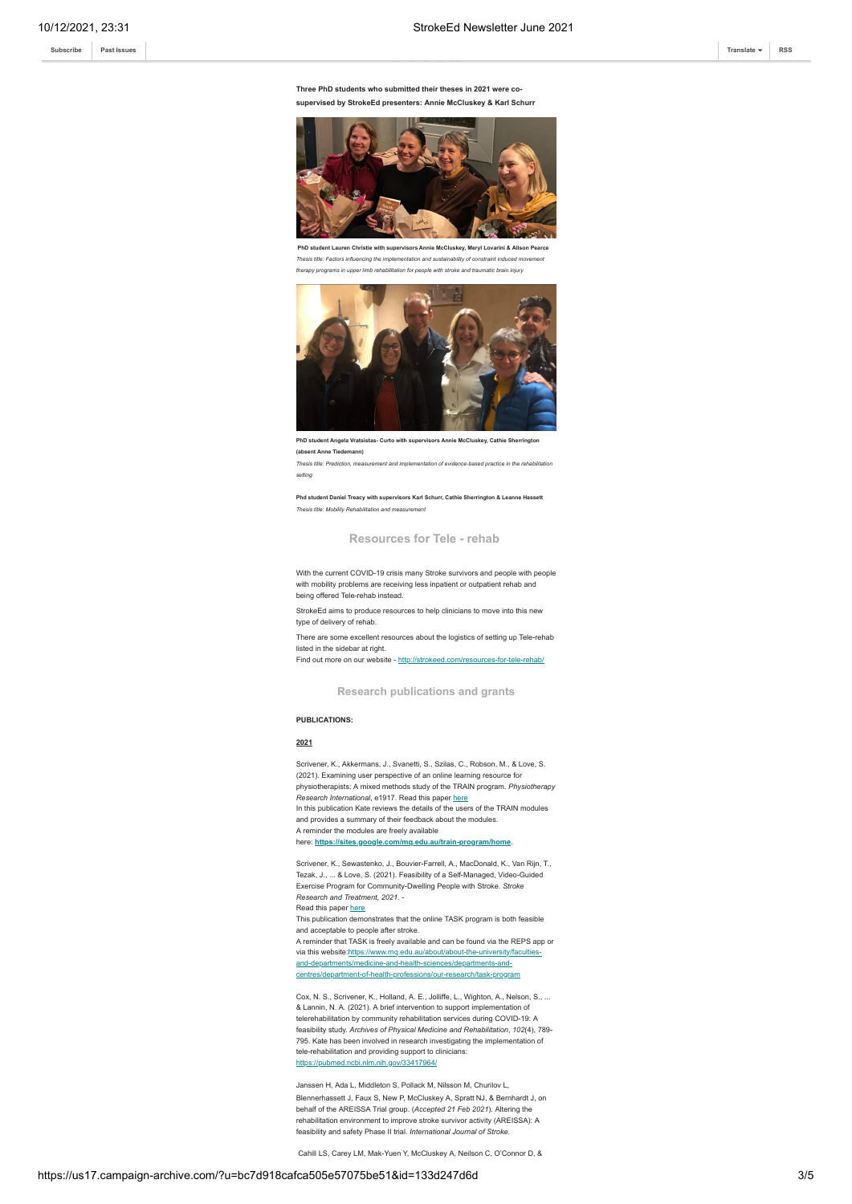**[Subscribe](http://eepurl.com/dALkcT) [Past Issues](https://us17.campaign-archive.com/home/?u=bc7d918cafca505e57075be51&id=1c918590b8) [Translate](javascript:;) [RSS](https://us17.campaign-archive.com/feed?u=bc7d918cafca505e57075be51&id=1c918590b8)**

#### **Three PhD students who submitted their theses in 2021 were cosupervised by StrokeEd presenters: Annie McCluskey & Karl Schurr**

**Achievements!**



*Thesis title: Factors influencing the implementation and sustainability of constraint induced movement therapy programs in upper limb rehabilitation for people with stroke and traumatic brain injury*



**PhD student Angela Vratsistas- Curto with supervisors Annie McCluskey, Cathie Sherrington (absent Anne Tiedemann)**

*Thesis title: Prediction, measurement and implementation of evidence-based practice in the rehabilitation setting*

Phd student Daniel Treacy with supervisors Karl Schurr, Cathie Sherrington & Leanne Has *Thesis title: Mobility Rehabilitation and measurement*

**Resources for Tele - rehab**

With the current COVID-19 crisis many Stroke survivors and people with people with mobility problems are receiving less inpatient or outpatient rehab and being offered Tele-rehab instead.

StrokeEd aims to produce resources to help clinicians to move into this new type of delivery of rehab.

There are some excellent resources about the logistics of setting up Tele-rehab listed in the sidebar at right.

Find out more on our website - <http://strokeed.com/resources-for-tele-rehab/>

**Research publications and grants**

#### **PUBLICATIONS:**

#### **2021**

Scrivener, K., Akkermans, J., Svanetti, S., Szilas, C., Robson, M., & Love, S. (2021). Examining user perspective of an online learning resource for physiotherapists: A mixed methods study of the TRAIN program. *Physiotherapy Research International*, e1917. Read this paper [here](https://onlinelibrary.wiley.com/doi/abs/10.1002/pri.1917) In this publication Kate reviews the details of the users of the TRAIN modules and provides a summary of their feedback about the modules. A reminder the modules are freely available here: **<https://sites.google.com/mq.edu.au/train-program/home>**.

Scrivener, K., Sewastenko, J., Bouvier-Farrell, A., MacDonald, K., Van Rijn, T., Tezak, J., ... & Love, S. (2021). Feasibility of a Self-Managed, Video-Guided Exercise Program for Community-Dwelling People with Stroke. *Stroke Research and Treatment*, *2021*. - Read this paper [here](https://www.hindawi.com/journals/srt/2021/5598100/)

This publication demonstrates that the online TASK program is both feasible and acceptable to people after stroke.

A reminder that TASK is freely available and can be found via the REPS app or [via this website:https://www.mq.edu.au/about/about-the-university/faculties](https://www.mq.edu.au/about/about-the-university/faculties-and-departments/medicine-and-health-sciences/departments-and-centres/department-of-health-professions/our-research/task-program)and-departments/medicine-and-health-sciences/departments-andcentres/department-of-health-professions/our-research/task-program

Cox, N. S., Scrivener, K., Holland, A. E., Jolliffe, L., Wighton, A., Nelson, S., ... & Lannin, N. A. (2021). A brief intervention to support implementation of telerehabilitation by community rehabilitation services during COVID-19: A feasibility study. *Archives of Physical Medicine and Rehabilitation*, *102*(4), 789- 795. Kate has been involved in research investigating the implementation of tele-rehabilitation and providing support to clinicians: <https://pubmed.ncbi.nlm.nih.gov/33417964/>

Janssen H, Ada L, Middleton S, Pollack M, Nilsson M, Churilov L, Blennerhassett J, Faux S, New P, McCluskey A, Spratt NJ, & Bernhardt J, on behalf of the AREISSA Trial group. (*Accepted 21 Feb 2021*). Altering the rehabilitation environment to improve stroke survivor activity (AREISSA): A feasibility and safety Phase II trial. *International Journal of Stroke*.

Cahill LS, Carey LM, Mak-Yuen Y, McCluskey A, Neilson C, O'Connor D, &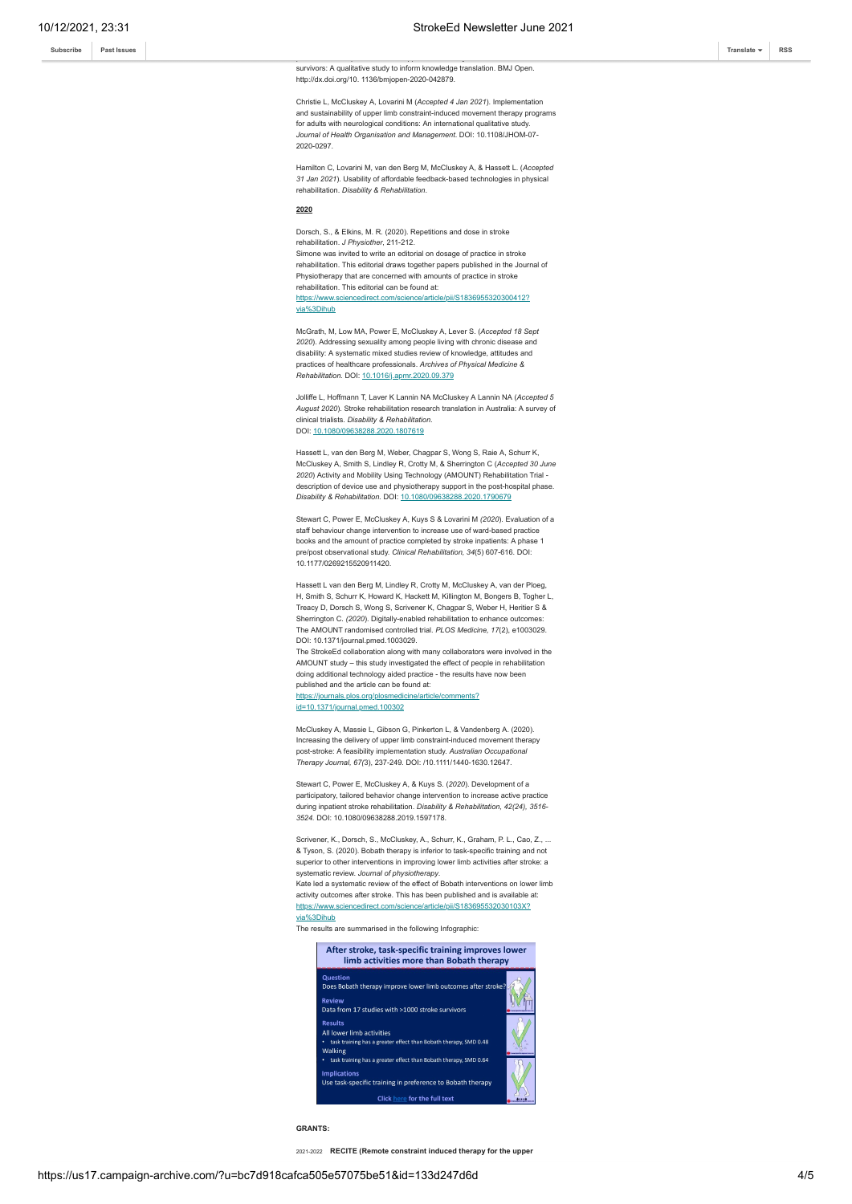professionals' implementation of upper limb sensory rehabilitation for stroke survivors: A qualitative study to inform knowledge translation. BMJ Open. http://dx.doi.org/10. 1136/bmjopen-2020-042879.

Christie L, McCluskey A, Lovarini M (*Accepted 4 Jan 2021*). Implementation and sustainability of upper limb constraint-induced movement therapy programs for adults with neurological conditions: An international qualitative study. *Journal of Health Organisation and Management*. DOI: 10.1108/JHOM-07- 2020-0297.

Hamilton C, Lovarini M, van den Berg M, McCluskey A, & Hassett L. (*Accepted 31 Jan 2021*). Usability of affordable feedback-based technologies in physical rehabilitation. *Disability & Rehabilitation*.

#### **2020**

Dorsch, S., & Elkins, M. R. (2020). Repetitions and dose in stroke rehabilitation. *J Physiother*, 211-212.

Simone was invited to write an editorial on dosage of practice in stroke rehabilitation. This editorial draws together papers published in the Journal of Physiotherapy that are concerned with amounts of practice in stroke rehabilitation. This editorial can be found at:

[https://www.sciencedirect.com/science/article/pii/S1836955320300412?](https://www.sciencedirect.com/science/article/pii/S1836955320300412?via%3Dihub) via%3Dihub

McGrath, M, Low MA, Power E, McCluskey A, Lever S. (*Accepted 18 Sept 2020*). Addressing sexuality among people living with chronic disease and disability: A systematic mixed studies review of knowledge, attitudes and practices of healthcare professionals. *Archives of Physical Medicine & Rehabilitation.* DOI: [10.1016/j.apmr.2020.09.379](https://doi.org/10.1016/j.apmr.2020.09.379)

Jolliffe L, Hoffmann T, Laver K Lannin NA McCluskey A Lannin NA (*Accepted 5 August 2020*). Stroke rehabilitation research translation in Australia: A survey of clinical trialists. *Disability & Rehabilitation*. DOI: [10.1080/09638288.2020.1807619](https://doi.org/10.1080/09638288.2020.1807619)

Hassett L, van den Berg M, Weber, Chagpar S, Wong S, Raie A, Schurr K, McCluskey A, Smith S, Lindley R, Crotty M, & Sherrington C (*Accepted 30 June 2020*) Activity and Mobility Using Technology (AMOUNT) Rehabilitation Trial description of device use and physiotherapy support in the post-hospital phase. *Disability & Rehabilitation.* DOI: [10.1080/09638288.2020.1790679](https://doi.org/10.1080/09638288.2020.1790679)

Stewart C, Power E, McCluskey A, Kuys S & Lovarini M *(2020*). Evaluation of a staff behaviour change intervention to increase use of ward-based practice books and the amount of practice completed by stroke inpatients: A phase 1 pre/post observational study. *Clinical Rehabilitation, 34*(5) 607-616. DOI: 10.1177/0269215520911420.

Hassett L van den Berg M, Lindley R, Crotty M, McCluskey A, van der Ploeg, H, Smith S, Schurr K, Howard K, Hackett M, Killington M, Bongers B, Togher L, Treacy D, Dorsch S, Wong S, Scrivener K, Chagpar S, Weber H, Heritier S & Sherrington C. *(2020*). Digitally-enabled rehabilitation to enhance outcomes: The AMOUNT randomised controlled trial. *PLOS Medicine, 17*(2), e1003029. DOI: 10.1371/journal.pmed.1003029.

The StrokeEd collaboration along with many collaborators were involved in the AMOUNT study – this study investigated the effect of people in rehabilitation doing additional technology aided practice - the results have now been published and the article can be found at: [https://journals.plos.org/plosmedicine/article/comments?](https://journals.plos.org/plosmedicine/article/comments?id=10.1371/journal.pmed.100302)

id=10.1371/journal.pmed.100302

McCluskey A, Massie L, Gibson G, Pinkerton L, & Vandenberg A. (2020). Increasing the delivery of upper limb constraint-induced movement therapy post-stroke: A feasibility implementation study. *Australian Occupational Therapy Journal, 67(*3), 237-249*.* DOI: /10.1111/1440-1630.12647*.*

Stewart C, Power E, McCluskey A, & Kuys S. (*2020*). Development of a participatory, tailored behavior change intervention to increase active practice during inpatient stroke rehabilitation. *Disability & Rehabilitation, 42(24), 3516- 3524.* DOI: 10.1080/09638288.2019.1597178.

Scrivener, K., Dorsch, S., McCluskey, A., Schurr, K., Graham, P. L., Cao, Z., .. & Tyson, S. (2020). Bobath therapy is inferior to task-specific training and not superior to other interventions in improving lower limb activities after stroke: a systematic review. *Journal of physiotherapy*.

Kate led a systematic review of the effect of Bobath interventions on lower limb activity outcomes after stroke. This has been published and is available at: [https://www.sciencedirect.com/science/article/pii/S183695532030103X?](https://www.sciencedirect.com/science/article/pii/S183695532030103X?via%3Dihub) via%3Dihub

The results are summarised in the following Infographic:



**GRANTS:**